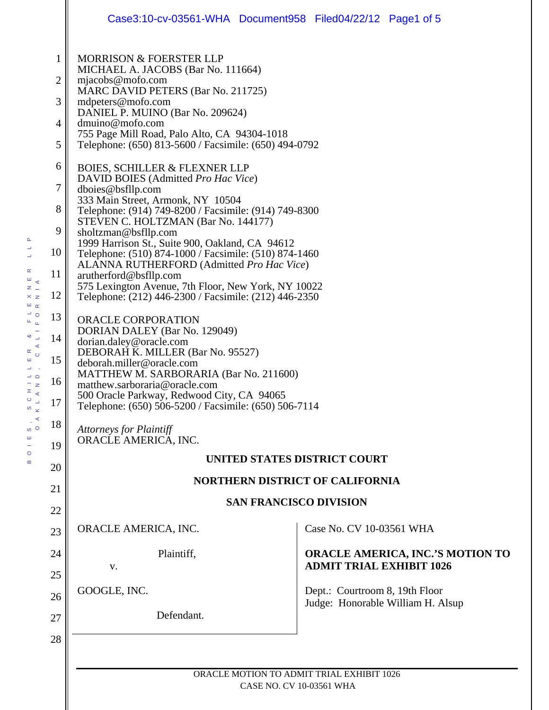|              | Case3:10-cv-03561-WHA Document958 Filed04/22/12 Page1 of 5                                                                                                                                                                                     |                                                                     |  |
|--------------|------------------------------------------------------------------------------------------------------------------------------------------------------------------------------------------------------------------------------------------------|---------------------------------------------------------------------|--|
| $\mathbf{1}$ | <b>MORRISON &amp; FOERSTER LLP</b><br>MICHAEL A. JACOBS (Bar No. 111664)                                                                                                                                                                       |                                                                     |  |
| 2            | mjacobs@mofo.com<br>MARC DAVID PETERS (Bar No. 211725)                                                                                                                                                                                         |                                                                     |  |
| 3            | mdpeters@mofo.com                                                                                                                                                                                                                              |                                                                     |  |
| 4            | DANIEL P. MUINO (Bar No. 209624)<br>dmuino@mofo.com                                                                                                                                                                                            |                                                                     |  |
| 5            | 755 Page Mill Road, Palo Alto, CA 94304-1018<br>Telephone: (650) 813-5600 / Facsimile: (650) 494-0792                                                                                                                                          |                                                                     |  |
| 6            | <b>BOIES, SCHILLER &amp; FLEXNER LLP</b>                                                                                                                                                                                                       |                                                                     |  |
| 7            | DAVID BOIES (Admitted Pro Hac Vice)<br>dboies@bsfllp.com                                                                                                                                                                                       |                                                                     |  |
| 8            | 333 Main Street, Armonk, NY 10504<br>Telephone: (914) 749-8200 / Facsimile: (914) 749-8300                                                                                                                                                     |                                                                     |  |
| 9            | STEVEN C. HOLTZMAN (Bar No. 144177)<br>sholtzman@bsfllp.com<br>1999 Harrison St., Suite 900, Oakland, CA 94612<br>Telephone: (510) 874-1000 / Facsimile: (510) 874-1460<br>ALANNA RUTHERFORD (Admitted Pro Hac Vice)<br>arutherford@bsfllp.com |                                                                     |  |
| 10           |                                                                                                                                                                                                                                                |                                                                     |  |
| 11           |                                                                                                                                                                                                                                                |                                                                     |  |
| 12           | 575 Lexington Avenue, 7th Floor, New York, NY 10022<br>Telephone: (212) 446-2300 / Facsimile: (212) 446-2350                                                                                                                                   |                                                                     |  |
| 13           | <b>ORACLE CORPORATION</b><br>DORIAN DALEY (Bar No. 129049)                                                                                                                                                                                     |                                                                     |  |
| 14           | dorian.daley@oracle.com                                                                                                                                                                                                                        |                                                                     |  |
| 15           | DEBORAH K. MILLER (Bar No. 95527)<br>deborah.miller@oracle.com                                                                                                                                                                                 |                                                                     |  |
| 16           | MATTHEW M. SARBORARIA (Bar No. 211600)<br>matthew.sarboraria@oracle.com                                                                                                                                                                        |                                                                     |  |
| 17           | 500 Oracle Parkway, Redwood City, CA 94065<br>Telephone: (650) 506-5200 / Facsimile: (650) 506-7114                                                                                                                                            |                                                                     |  |
| 18           | <b>Attorneys for Plaintiff</b><br>ORACLE AMERICA, INC.                                                                                                                                                                                         |                                                                     |  |
| 19           |                                                                                                                                                                                                                                                |                                                                     |  |
| 20           | UNITED STATES DISTRICT COURT                                                                                                                                                                                                                   |                                                                     |  |
| 21           | <b>NORTHERN DISTRICT OF CALIFORNIA</b><br><b>SAN FRANCISCO DIVISION</b>                                                                                                                                                                        |                                                                     |  |
| 22           |                                                                                                                                                                                                                                                |                                                                     |  |
| 23           | ORACLE AMERICA, INC.                                                                                                                                                                                                                           | Case No. CV 10-03561 WHA                                            |  |
| 24           | Plaintiff,                                                                                                                                                                                                                                     | <b>ORACLE AMERICA, INC.'S MOTION TO</b>                             |  |
| 25           | V.                                                                                                                                                                                                                                             | <b>ADMIT TRIAL EXHIBIT 1026</b>                                     |  |
| 26           | GOOGLE, INC.                                                                                                                                                                                                                                   | Dept.: Courtroom 8, 19th Floor<br>Judge: Honorable William H. Alsup |  |
| 27           | Defendant.                                                                                                                                                                                                                                     |                                                                     |  |
| 28           |                                                                                                                                                                                                                                                |                                                                     |  |
|              |                                                                                                                                                                                                                                                |                                                                     |  |
|              | ORACLE MOTION TO ADMIT TRIAL EXHIBIT 1026                                                                                                                                                                                                      |                                                                     |  |

 $\mathbf{r}$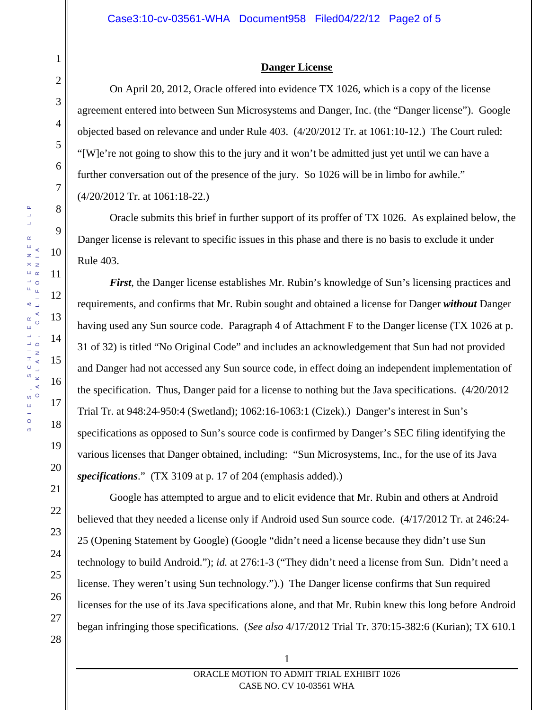## **Danger License**

On April 20, 2012, Oracle offered into evidence TX 1026, which is a copy of the license agreement entered into between Sun Microsystems and Danger, Inc. (the "Danger license"). Google objected based on relevance and under Rule 403. (4/20/2012 Tr. at 1061:10-12.) The Court ruled: "[W]e're not going to show this to the jury and it won't be admitted just yet until we can have a further conversation out of the presence of the jury. So 1026 will be in limbo for awhile." (4/20/2012 Tr. at 1061:18-22.)

Oracle submits this brief in further support of its proffer of TX 1026. As explained below, the Danger license is relevant to specific issues in this phase and there is no basis to exclude it under Rule 403.

*First*, the Danger license establishes Mr. Rubin's knowledge of Sun's licensing practices and requirements, and confirms that Mr. Rubin sought and obtained a license for Danger *without* Danger having used any Sun source code. Paragraph 4 of Attachment F to the Danger license (TX 1026 at p. 31 of 32) is titled "No Original Code" and includes an acknowledgement that Sun had not provided and Danger had not accessed any Sun source code, in effect doing an independent implementation of the specification. Thus, Danger paid for a license to nothing but the Java specifications. (4/20/2012 Trial Tr. at 948:24-950:4 (Swetland); 1062:16-1063:1 (Cizek).) Danger's interest in Sun's specifications as opposed to Sun's source code is confirmed by Danger's SEC filing identifying the various licenses that Danger obtained, including: "Sun Microsystems, Inc., for the use of its Java *specifications*." (TX 3109 at p. 17 of 204 (emphasis added).)

 Google has attempted to argue and to elicit evidence that Mr. Rubin and others at Android believed that they needed a license only if Android used Sun source code. (4/17/2012 Tr. at 246:24- 25 (Opening Statement by Google) (Google "didn't need a license because they didn't use Sun technology to build Android."); *id.* at 276:1-3 ("They didn't need a license from Sun. Didn't need a license. They weren't using Sun technology.").) The Danger license confirms that Sun required licenses for the use of its Java specifications alone, and that Mr. Rubin knew this long before Android began infringing those specifications. (*See also* 4/17/2012 Trial Tr. 370:15-382:6 (Kurian); TX 610.1

1

2

3

4

5

6

7

8

9

10

11

12

13

14

15

16

17

18

19

20

21

22

23

24

25

26

27

28

ORACLE MOTION TO ADMIT TRIAL EXHIBIT 1026 CASE NO. CV 10-03561 WHA

1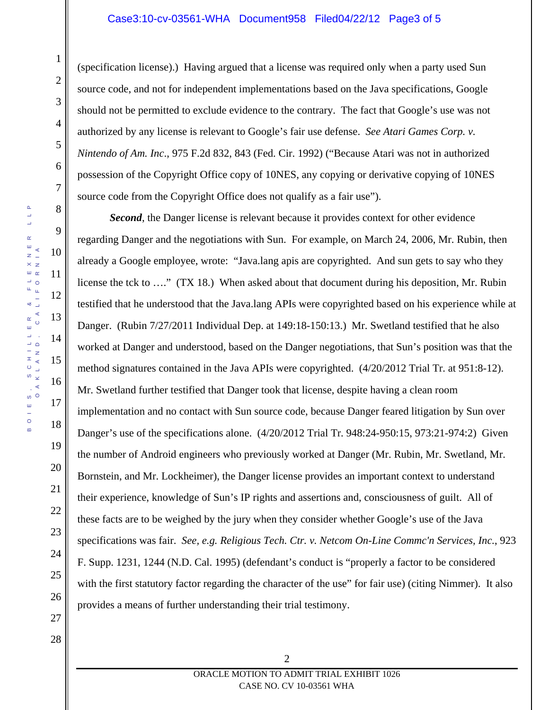## Case3:10-cv-03561-WHA Document958 Filed04/22/12 Page3 of 5

(specification license).) Having argued that a license was required only when a party used Sun source code, and not for independent implementations based on the Java specifications, Google should not be permitted to exclude evidence to the contrary. The fact that Google's use was not authorized by any license is relevant to Google's fair use defense. *See Atari Games Corp. v. Nintendo of Am. Inc*., 975 F.2d 832, 843 (Fed. Cir. 1992) ("Because Atari was not in authorized possession of the Copyright Office copy of 10NES, any copying or derivative copying of 10NES source code from the Copyright Office does not qualify as a fair use").

*Second*, the Danger license is relevant because it provides context for other evidence regarding Danger and the negotiations with Sun. For example, on March 24, 2006, Mr. Rubin, then already a Google employee, wrote: "Java.lang apis are copyrighted. And sun gets to say who they license the tck to …." (TX 18.) When asked about that document during his deposition, Mr. Rubin testified that he understood that the Java.lang APIs were copyrighted based on his experience while at Danger. (Rubin 7/27/2011 Individual Dep. at 149:18-150:13.) Mr. Swetland testified that he also worked at Danger and understood, based on the Danger negotiations, that Sun's position was that the method signatures contained in the Java APIs were copyrighted. (4/20/2012 Trial Tr. at 951:8-12). Mr. Swetland further testified that Danger took that license, despite having a clean room implementation and no contact with Sun source code, because Danger feared litigation by Sun over Danger's use of the specifications alone. (4/20/2012 Trial Tr. 948:24-950:15, 973:21-974:2) Given the number of Android engineers who previously worked at Danger (Mr. Rubin, Mr. Swetland, Mr. Bornstein, and Mr. Lockheimer), the Danger license provides an important context to understand their experience, knowledge of Sun's IP rights and assertions and, consciousness of guilt. All of these facts are to be weighed by the jury when they consider whether Google's use of the Java specifications was fair. *See, e.g. Religious Tech. Ctr. v. Netcom On-Line Commc'n Services, Inc.*, 923 F. Supp. 1231, 1244 (N.D. Cal. 1995) (defendant's conduct is "properly a factor to be considered with the first statutory factor regarding the character of the use" for fair use) (citing Nimmer). It also provides a means of further understanding their trial testimony.

1

2

3

4

5

6

7

8

9

10

11

12

13

14

15

16

17

18

19

20

21

22

23

24

25

26

27

28

ORACLE MOTION TO ADMIT TRIAL EXHIBIT 1026 CASE NO. CV 10-03561 WHA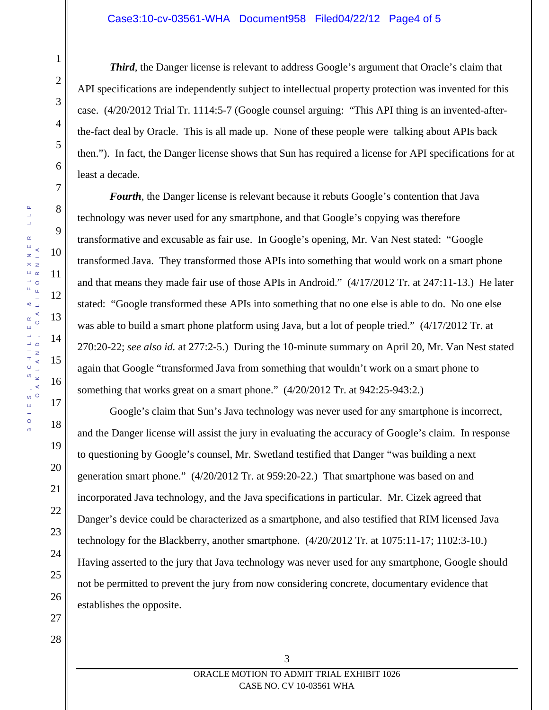### Case3:10-cv-03561-WHA Document958 Filed04/22/12 Page4 of 5

BOIES, SCHILLER & FLEXNER LLP

 $\alpha$ 

Ш  $\bar{\omega}$ 

 $\equiv$ 

 $\pm$ 

 $\circ$ 

 $\omega$ 

Ш  $\circ$  $\infty$ 

οð

 $\Delta$ L.  $\overline{\phantom{a}}$  $\alpha$  $\mathbf{m}$ 

24

25

26

27

28

1

2

3

4

5

6

7

8

*Third*, the Danger license is relevant to address Google's argument that Oracle's claim that API specifications are independently subject to intellectual property protection was invented for this case. (4/20/2012 Trial Tr. 1114:5-7 (Google counsel arguing: "This API thing is an invented-afterthe-fact deal by Oracle. This is all made up. None of these people were talking about APIs back then."). In fact, the Danger license shows that Sun has required a license for API specifications for at least a decade.

*Fourth*, the Danger license is relevant because it rebuts Google's contention that Java technology was never used for any smartphone, and that Google's copying was therefore transformative and excusable as fair use. In Google's opening, Mr. Van Nest stated: "Google transformed Java. They transformed those APIs into something that would work on a smart phone and that means they made fair use of those APIs in Android." (4/17/2012 Tr. at 247:11-13.) He later stated: "Google transformed these APIs into something that no one else is able to do. No one else was able to build a smart phone platform using Java, but a lot of people tried." (4/17/2012 Tr. at 270:20-22; *see also id.* at 277:2-5.) During the 10-minute summary on April 20, Mr. Van Nest stated again that Google "transformed Java from something that wouldn't work on a smart phone to something that works great on a smart phone." (4/20/2012 Tr. at 942:25-943:2.)

Google's claim that Sun's Java technology was never used for any smartphone is incorrect, and the Danger license will assist the jury in evaluating the accuracy of Google's claim. In response to questioning by Google's counsel, Mr. Swetland testified that Danger "was building a next generation smart phone." (4/20/2012 Tr. at 959:20-22.) That smartphone was based on and incorporated Java technology, and the Java specifications in particular. Mr. Cizek agreed that Danger's device could be characterized as a smartphone, and also testified that RIM licensed Java technology for the Blackberry, another smartphone. (4/20/2012 Tr. at 1075:11-17; 1102:3-10.) Having asserted to the jury that Java technology was never used for any smartphone, Google should not be permitted to prevent the jury from now considering concrete, documentary evidence that establishes the opposite.

3